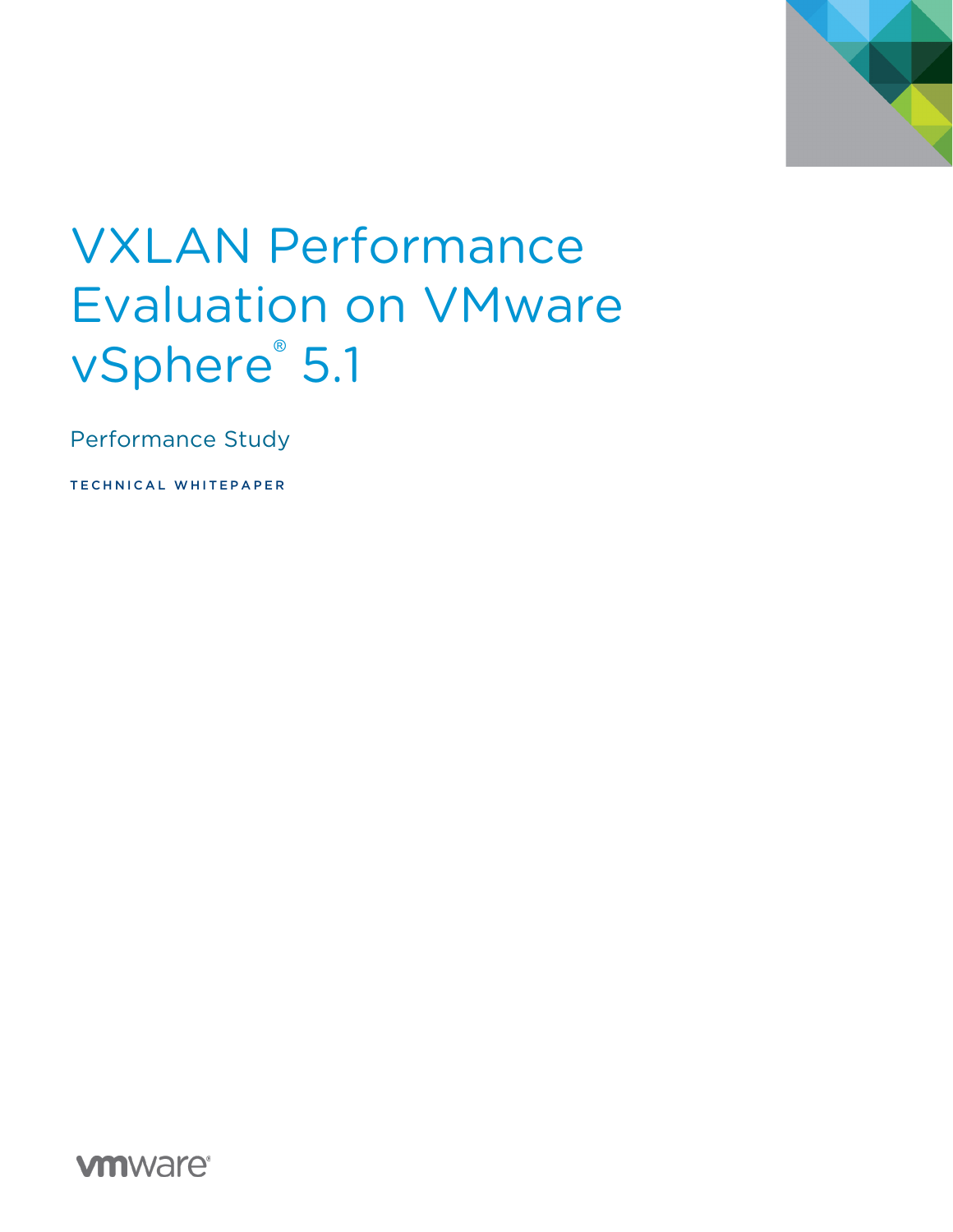

# VXLAN Performance Evaluation on VMware vSphere<sup>®</sup> 5.1

Performance Study

TECHNICAL WHITEPAPER

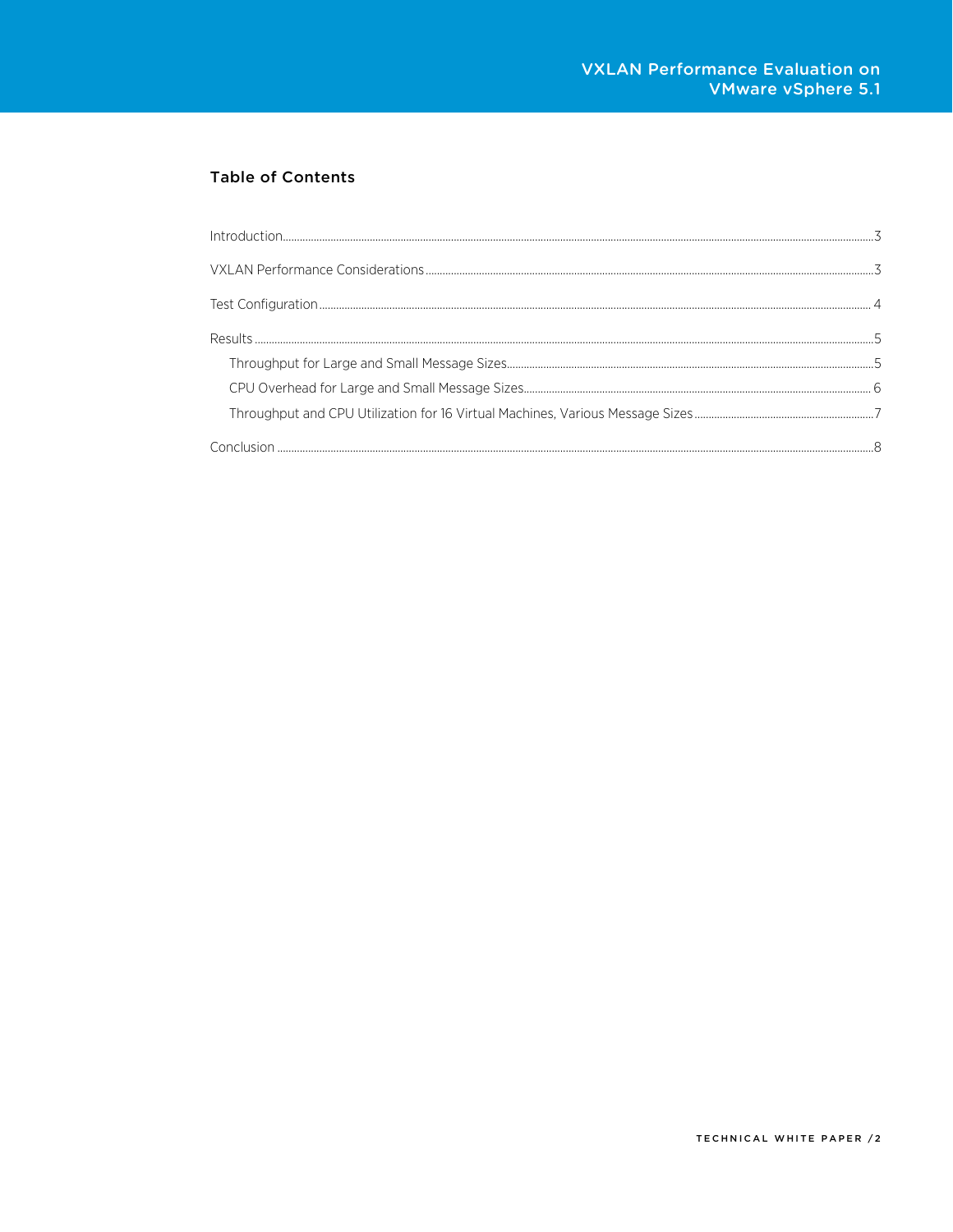### **Table of Contents**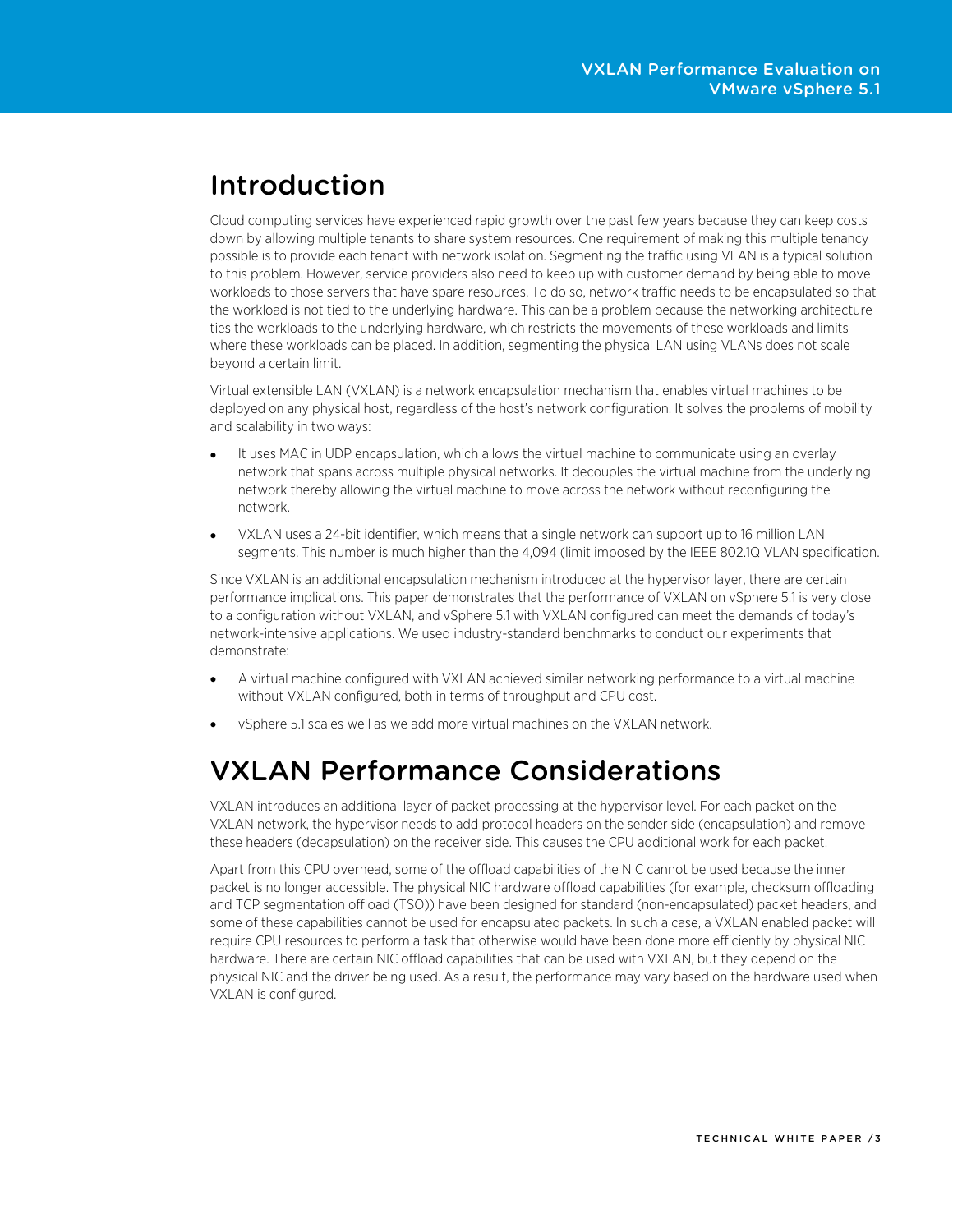### <span id="page-2-0"></span>Introduction

Cloud computing services have experienced rapid growth over the past few years because they can keep costs down by allowing multiple tenants to share system resources. One requirement of making this multiple tenancy possible is to provide each tenant with network isolation. Segmenting the traffic using VLAN is a typical solution to this problem. However, service providers also need to keep up with customer demand by being able to move workloads to those servers that have spare resources. To do so, network traffic needs to be encapsulated so that the workload is not tied to the underlying hardware. This can be a problem because the networking architecture ties the workloads to the underlying hardware, which restricts the movements of these workloads and limits where these workloads can be placed. In addition, segmenting the physical LAN using VLANs does not scale beyond a certain limit.

Virtual extensible LAN (VXLAN) is a network encapsulation mechanism that enables virtual machines to be deployed on any physical host, regardless of the host's network configuration. It solves the problems of mobility and scalability in two ways:

- It uses MAC in UDP encapsulation, which allows the virtual machine to communicate using an overlay network that spans across multiple physical networks. It decouples the virtual machine from the underlying network thereby allowing the virtual machine to move across the network without reconfiguring the network.
- VXLAN uses a 24-bit identifier, which means that a single network can support up to 16 million LAN segments. This number is much higher than the 4,094 (limit imposed by the IEEE 802.1Q VLAN specification.

Since VXLAN is an additional encapsulation mechanism introduced at the hypervisor layer, there are certain performance implications. This paper demonstrates that the performance of VXLAN on vSphere 5.1 is very close to a configuration without VXLAN, and vSphere 5.1 with VXLAN configured can meet the demands of today's network-intensive applications. We used industry-standard benchmarks to conduct our experiments that demonstrate:

- A virtual machine configured with VXLAN achieved similar networking performance to a virtual machine without VXLAN configured, both in terms of throughput and CPU cost.
- vSphere 5.1 scales well as we add more virtual machines on the VXLAN network.

# <span id="page-2-1"></span>VXLAN Performance Considerations

VXLAN introduces an additional layer of packet processing at the hypervisor level. For each packet on the VXLAN network, the hypervisor needs to add protocol headers on the sender side (encapsulation) and remove these headers (decapsulation) on the receiver side. This causes the CPU additional work for each packet.

Apart from this CPU overhead, some of the offload capabilities of the NIC cannot be used because the inner packet is no longer accessible. The physical NIC hardware offload capabilities (for example, checksum offloading and TCP segmentation offload (TSO)) have been designed for standard (non-encapsulated) packet headers, and some of these capabilities cannot be used for encapsulated packets. In such a case, a VXLAN enabled packet will require CPU resources to perform a task that otherwise would have been done more efficiently by physical NIC hardware. There are certain NIC offload capabilities that can be used with VXLAN, but they depend on the physical NIC and the driver being used. As a result, the performance may vary based on the hardware used when VXLAN is configured.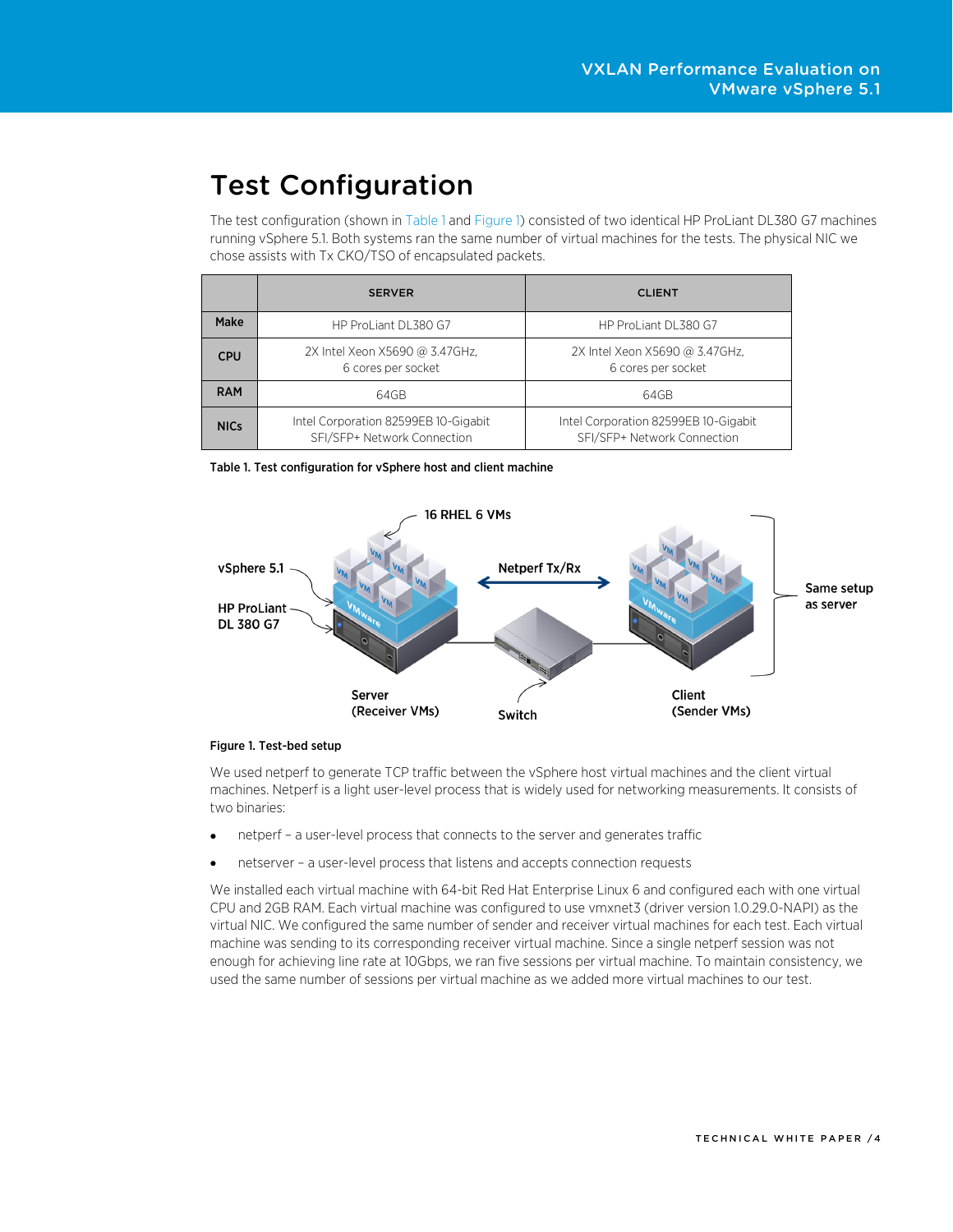# <span id="page-3-0"></span>Test Configuration

<span id="page-3-1"></span>The test configuration (shown i[n Table 1](#page-3-1) and [Figure 1\)](#page-3-2) consisted of two identical HP ProLiant DL380 G7 machines running vSphere 5.1. Both systems ran the same number of virtual machines for the tests. The physical NIC we chose assists with Tx CKO/TSO of encapsulated packets.

|             | <b>SERVER</b>                                                       | <b>CLIENT</b>                                                       |
|-------------|---------------------------------------------------------------------|---------------------------------------------------------------------|
| Make        | HP ProLiant DL380 G7                                                | HP ProLiant DL380 G7                                                |
| <b>CPU</b>  | 2X Intel Xeon X5690 @ 3.47GHz,<br>6 cores per socket                | 2X Intel Xeon X5690 @ 3.47GHz,<br>6 cores per socket                |
| <b>RAM</b>  | 64GB                                                                | 64GB                                                                |
| <b>NICs</b> | Intel Corporation 82599EB 10-Gigabit<br>SFI/SFP+ Network Connection | Intel Corporation 82599EB 10-Gigabit<br>SFI/SFP+ Network Connection |

Table 1. Test configuration for vSphere host and client machine

<span id="page-3-2"></span>

#### Figure 1. Test-bed setup

We used netperf to generate TCP traffic between the vSphere host virtual machines and the client virtual machines. Netperf is a light user-level process that is widely used for networking measurements. It consists of two binaries:

- netperf a user-level process that connects to the server and generates traffic
- netserver a user-level process that listens and accepts connection requests

We installed each virtual machine with 64-bit Red Hat Enterprise Linux 6 and configured each with one virtual CPU and 2GB RAM. Each virtual machine was configured to use vmxnet3 (driver version 1.0.29.0-NAPI) as the virtual NIC. We configured the same number of sender and receiver virtual machines for each test. Each virtual machine was sending to its corresponding receiver virtual machine. Since a single netperf session was not enough for achieving line rate at 10Gbps, we ran five sessions per virtual machine. To maintain consistency, we used the same number of sessions per virtual machine as we added more virtual machines to our test.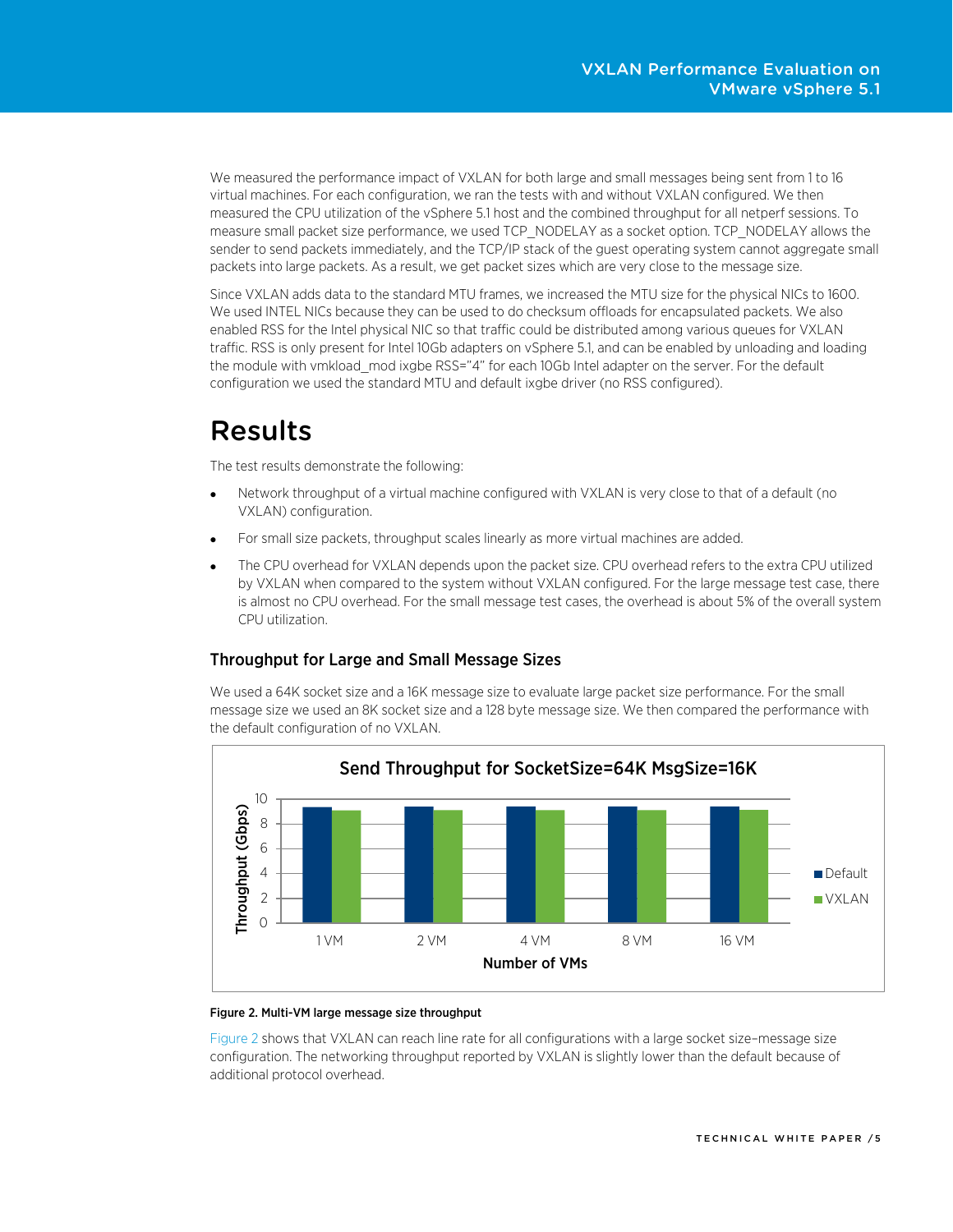We measured the performance impact of VXLAN for both large and small messages being sent from 1 to 16 virtual machines. For each configuration, we ran the tests with and without VXLAN configured. We then measured the CPU utilization of the vSphere 5.1 host and the combined throughput for all netperf sessions. To measure small packet size performance, we used TCP\_NODELAY as a socket option. TCP\_NODELAY allows the sender to send packets immediately, and the TCP/IP stack of the guest operating system cannot aggregate small packets into large packets. As a result, we get packet sizes which are very close to the message size.

Since VXLAN adds data to the standard MTU frames, we increased the MTU size for the physical NICs to 1600. We used INTEL NICs because they can be used to do checksum offloads for encapsulated packets. We also enabled RSS for the Intel physical NIC so that traffic could be distributed among various queues for VXLAN traffic. RSS is only present for Intel 10Gb adapters on vSphere 5.1, and can be enabled by unloading and loading the module with vmkload mod ixgbe RSS="4" for each 10Gb Intel adapter on the server. For the default configuration we used the standard MTU and default ixgbe driver (no RSS configured).

# <span id="page-4-0"></span>Results

The test results demonstrate the following:

- Network throughput of a virtual machine configured with VXLAN is very close to that of a default (no VXLAN) configuration.
- For small size packets, throughput scales linearly as more virtual machines are added.
- The CPU overhead for VXLAN depends upon the packet size. CPU overhead refers to the extra CPU utilized by VXLAN when compared to the system without VXLAN configured. For the large message test case, there is almost no CPU overhead. For the small message test cases, the overhead is about 5% of the overall system CPU utilization.

#### <span id="page-4-1"></span>Throughput for Large and Small Message Sizes

We used a 64K socket size and a 16K message size to evaluate large packet size performance. For the small message size we used an 8K socket size and a 128 byte message size. We then compared the performance with the default configuration of no VXLAN.

<span id="page-4-2"></span>

#### Figure 2. Multi-VM large message size throughput

[Figure 2](#page-4-2) shows that VXLAN can reach line rate for all configurations with a large socket size–message size configuration. The networking throughput reported by VXLAN is slightly lower than the default because of additional protocol overhead.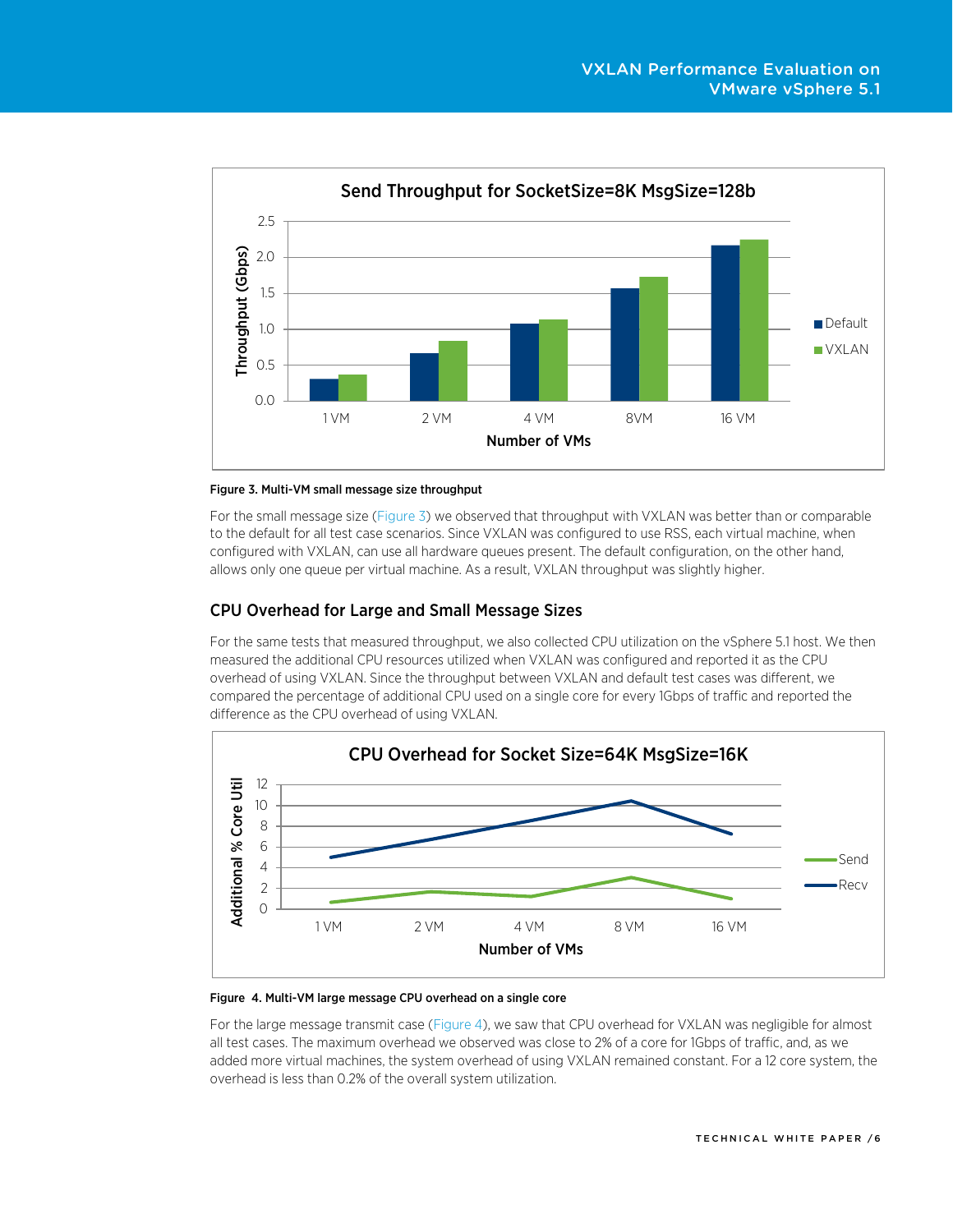<span id="page-5-1"></span>

#### Figure 3. Multi-VM small message size throughput

For the small message size [\(Figure 3\)](#page-5-1) we observed that throughput with VXLAN was better than or comparable to the default for all test case scenarios. Since VXLAN was configured to use RSS, each virtual machine, when configured with VXLAN, can use all hardware queues present. The default configuration, on the other hand, allows only one queue per virtual machine. As a result, VXLAN throughput was slightly higher.

#### <span id="page-5-0"></span>CPU Overhead for Large and Small Message Sizes

For the same tests that measured throughput, we also collected CPU utilization on the vSphere 5.1 host. We then measured the additional CPU resources utilized when VXLAN was configured and reported it as the CPU overhead of using VXLAN. Since the throughput between VXLAN and default test cases was different, we compared the percentage of additional CPU used on a single core for every 1Gbps of traffic and reported the difference as the CPU overhead of using VXLAN.



#### Figure 4. Multi-VM large message CPU overhead on a single core

For the large message transmit case (Figure 4), we saw that CPU overhead for VXLAN was negligible for almost all test cases. The maximum overhead we observed was close to 2% of a core for 1Gbps of traffic, and, as we added more virtual machines, the system overhead of using VXLAN remained constant. For a 12 core system, the overhead is less than 0.2% of the overall system utilization.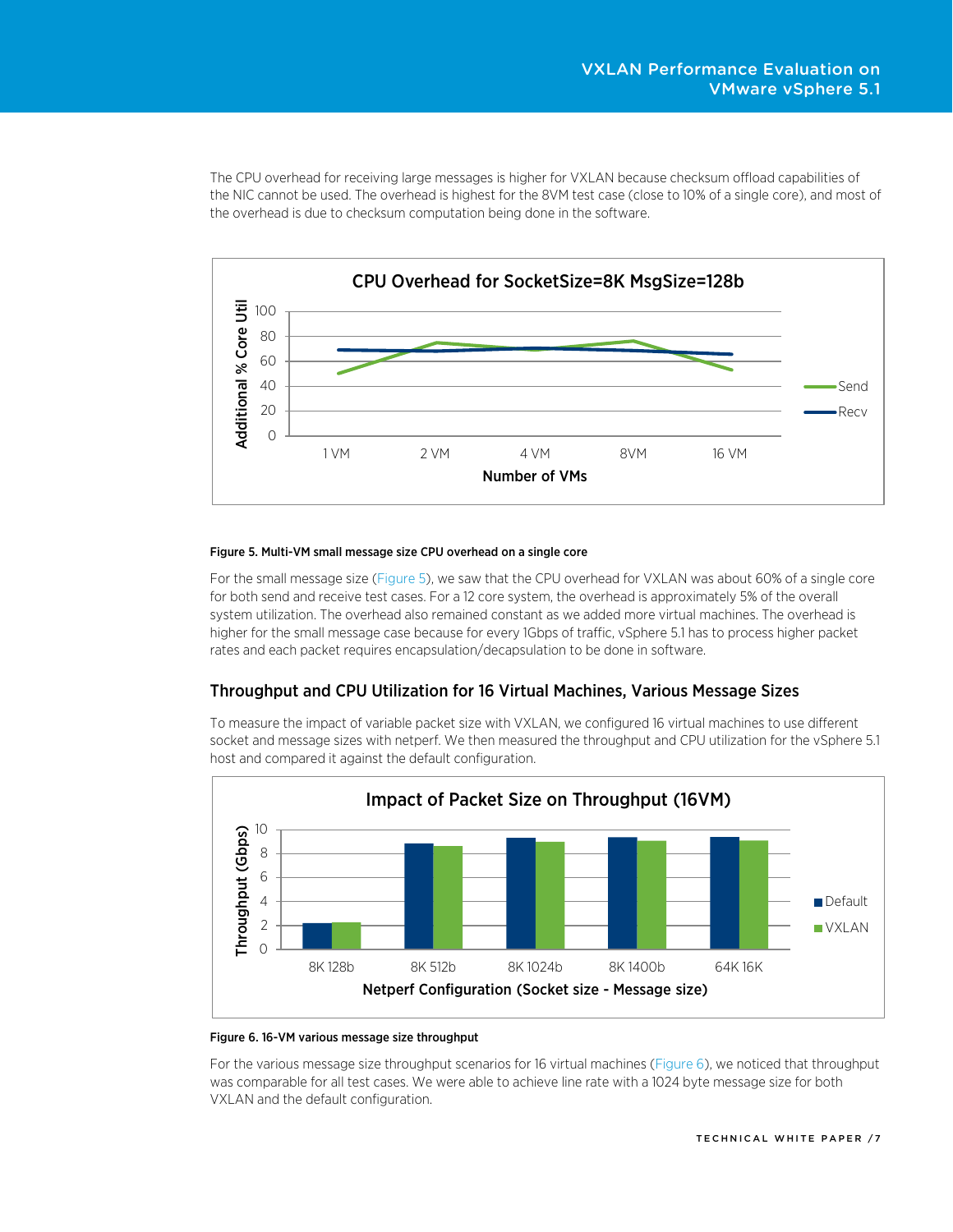The CPU overhead for receiving large messages is higher for VXLAN because checksum offload capabilities of the NIC cannot be used. The overhead is highest for the 8VM test case (close to 10% of a single core), and most of the overhead is due to checksum computation being done in the software.

<span id="page-6-1"></span>

#### Figure 5. Multi-VM small message size CPU overhead on a single core

For the small message size [\(Figure 5\)](#page-6-1), we saw that the CPU overhead for VXLAN was about 60% of a single core for both send and receive test cases. For a 12 core system, the overhead is approximately 5% of the overall system utilization. The overhead also remained constant as we added more virtual machines. The overhead is higher for the small message case because for every 1Gbps of traffic, vSphere 5.1 has to process higher packet rates and each packet requires encapsulation/decapsulation to be done in software.

#### <span id="page-6-0"></span>Throughput and CPU Utilization for 16 Virtual Machines, Various Message Sizes

<span id="page-6-2"></span>To measure the impact of variable packet size with VXLAN, we configured 16 virtual machines to use different socket and message sizes with netperf. We then measured the throughput and CPU utilization for the vSphere 5.1 host and compared it against the default configuration.



#### Figure 6. 16-VM various message size throughput

For the various message size throughput scenarios for 16 virtual machines [\(Figure 6\)](#page-6-2), we noticed that throughput was comparable for all test cases. We were able to achieve line rate with a 1024 byte message size for both VXLAN and the default configuration.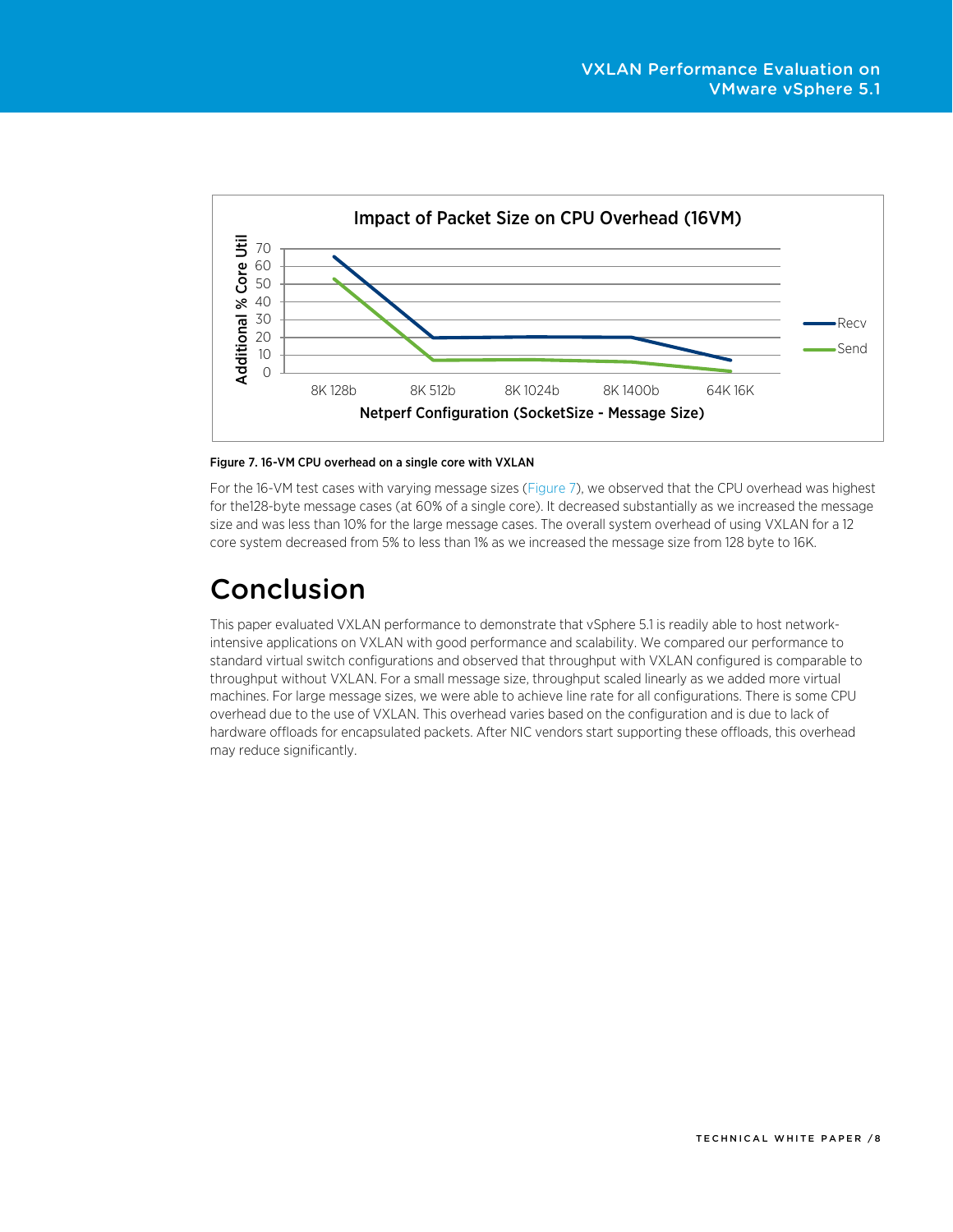

Figure 7. 16-VM CPU overhead on a single core with VXLAN

For the 16-VM test cases with varying message sizes [\(Figure 7\)](#page-8-0), we observed that the CPU overhead was highest for the128-byte message cases (at 60% of a single core). It decreased substantially as we increased the message size and was less than 10% for the large message cases. The overall system overhead of using VXLAN for a 12 core system decreased from 5% to less than 1% as we increased the message size from 128 byte to 16K.

# <span id="page-7-0"></span>Conclusion

This paper evaluated VXLAN performance to demonstrate that vSphere 5.1 is readily able to host networkintensive applications on VXLAN with good performance and scalability. We compared our performance to standard virtual switch configurations and observed that throughput with VXLAN configured is comparable to throughput without VXLAN. For a small message size, throughput scaled linearly as we added more virtual machines. For large message sizes, we were able to achieve line rate for all configurations. There is some CPU overhead due to the use of VXLAN. This overhead varies based on the configuration and is due to lack of hardware offloads for encapsulated packets. After NIC vendors start supporting these offloads, this overhead may reduce significantly.